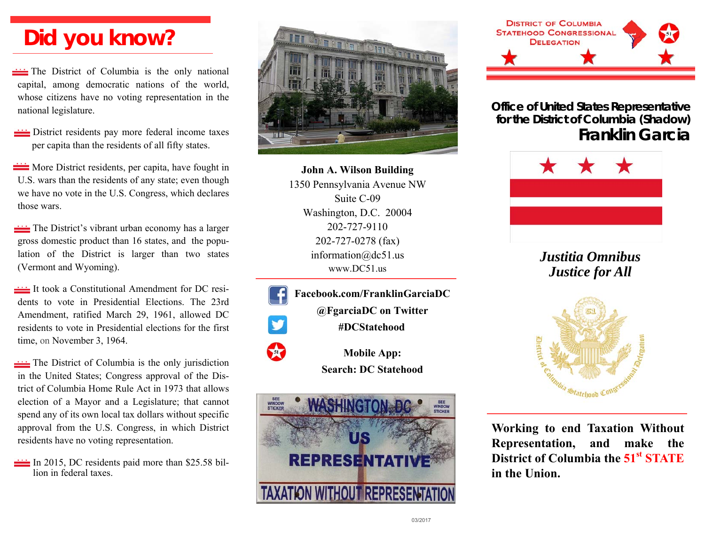# **Did you know?**

The District of Columbia is the only national capital, among democratic nations of the world, whose citizens have no voting representation in the national legislature.

**EXECUTE:** District residents pay more federal income taxes per capita than the residents of all fifty states.

**EXECUTE:** More District residents, per capita, have fought in U.S. wars than the residents of any state; even though we have no vote in the U.S. Congress, which declares those wars.

The District's vibrant urban economy has a larger gross domestic product than 16 states, and the population of the District is larger than two states (Vermont and Wyoming).

It took a Constitutional Amendment for DC residents to vote in Presidential Elections. The 23rd Amendment, ratified March 29, 1961, allowed DC residents to vote in Presidential elections for the first time, on November 3, 1964.

The District of Columbia is the only jurisdiction in the United States; Congress approval of the District of Columbia Home Rule Act in 1973 that allows election of a Mayor and a Legislature; that cannot spend any of its own local tax dollars without specific approval from the U.S. Congress, in which District residents have no voting representation.

In 2015, DC residents paid more than  $$25.58$  billion in federal taxes.



**John A. Wilson Building**  1350 Pennsylvania Avenue NW Suite C-09 Washington, D.C. 20004 202-727-9110 202-727-0278 (fax) information@dc51.us www.DC51.us

**Facebook.com/FranklinGarciaDC @FgarciaDC on Twitter #DCStatehood** 55 **Mobile App:** 

**Search: DC Statehood** 





**Office of United States Representative for the District of Columbia (Shadow) Franklin Garcia** 



*Justitia Omnibus Justice for All* 



**Working to end Taxation Without Representation, and make the District of Columbia the 51st STATE in the Union.**